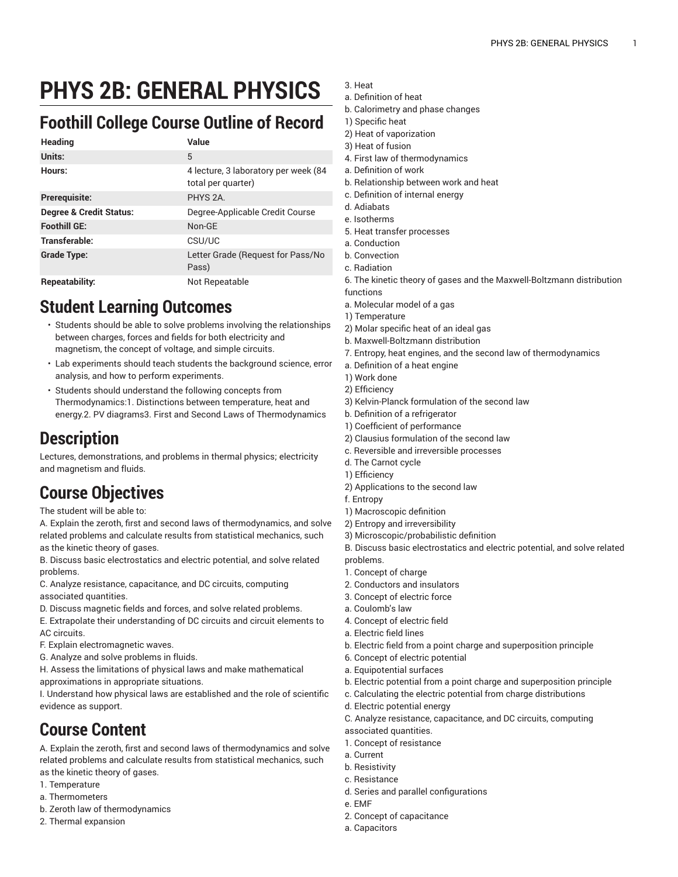# **PHYS 2B: GENERAL PHYSICS**

#### **Foothill College Course Outline of Record**

| <b>Heading</b>                     | Value                                                      |
|------------------------------------|------------------------------------------------------------|
| Units:                             | 5                                                          |
| Hours:                             | 4 lecture, 3 laboratory per week (84<br>total per quarter) |
| Prerequisite:                      | PHYS <sub>2A</sub>                                         |
| <b>Degree &amp; Credit Status:</b> | Degree-Applicable Credit Course                            |
| <b>Foothill GE:</b>                | Non-GE                                                     |
| Transferable:                      | CSU/UC                                                     |
| <b>Grade Type:</b>                 | Letter Grade (Request for Pass/No<br>Pass)                 |
| <b>Repeatability:</b>              | Not Repeatable                                             |

#### **Student Learning Outcomes**

- Students should be able to solve problems involving the relationships between charges, forces and fields for both electricity and magnetism, the concept of voltage, and simple circuits.
- Lab experiments should teach students the background science, error analysis, and how to perform experiments.
- Students should understand the following concepts from Thermodynamics:1. Distinctions between temperature, heat and energy.2. PV diagrams3. First and Second Laws of Thermodynamics

### **Description**

Lectures, demonstrations, and problems in thermal physics; electricity and magnetism and fluids.

## **Course Objectives**

The student will be able to:

A. Explain the zeroth, first and second laws of thermodynamics, and solve related problems and calculate results from statistical mechanics, such as the kinetic theory of gases.

B. Discuss basic electrostatics and electric potential, and solve related problems.

C. Analyze resistance, capacitance, and DC circuits, computing associated quantities.

D. Discuss magnetic fields and forces, and solve related problems.

E. Extrapolate their understanding of DC circuits and circuit elements to AC circuits.

F. Explain electromagnetic waves.

G. Analyze and solve problems in fluids.

H. Assess the limitations of physical laws and make mathematical approximations in appropriate situations.

I. Understand how physical laws are established and the role of scientific evidence as support.

## **Course Content**

A. Explain the zeroth, first and second laws of thermodynamics and solve related problems and calculate results from statistical mechanics, such as the kinetic theory of gases.

- 1. Temperature
- a. Thermometers
- b. Zeroth law of thermodynamics
- 2. Thermal expansion
- 3. Heat
- a. Definition of heat
- b. Calorimetry and phase changes
- 1) Specific heat
- 2) Heat of vaporization
- 3) Heat of fusion
- 4. First law of thermodynamics
- a. Definition of work
- b. Relationship between work and heat
- c. Definition of internal energy
- d. Adiabats
- e. Isotherms
- 5. Heat transfer processes
- a. Conduction
- b. Convection
- c. Radiation
- 6. The kinetic theory of gases and the Maxwell-Boltzmann distribution functions
- 
- a. Molecular model of a gas
- 1) Temperature
- 2) Molar specific heat of an ideal gas
- b. Maxwell-Boltzmann distribution
- 7. Entropy, heat engines, and the second law of thermodynamics
- a. Definition of a heat engine
- 1) Work done
- 2) Efficiency
- 3) Kelvin-Planck formulation of the second law
- b. Definition of a refrigerator
- 1) Coefficient of performance
- 2) Clausius formulation of the second law
- c. Reversible and irreversible processes
- d. The Carnot cycle
- 1) Efficiency
- 2) Applications to the second law
- f. Entropy
- 1) Macroscopic definition
- 2) Entropy and irreversibility
- 3) Microscopic/probabilistic definition
- B. Discuss basic electrostatics and electric potential, and solve related problems.
- 1. Concept of charge
- 2. Conductors and insulators
- 3. Concept of electric force
- a. Coulomb's law
- 4. Concept of electric field
- a. Electric field lines
- b. Electric field from a point charge and superposition principle
- 6. Concept of electric potential
- a. Equipotential surfaces
- b. Electric potential from a point charge and superposition principle
- c. Calculating the electric potential from charge distributions
- d. Electric potential energy
- C. Analyze resistance, capacitance, and DC circuits, computing
- associated quantities.
- 1. Concept of resistance
- a. Current
- b. Resistivity
- c. Resistance
- d. Series and parallel configurations
- e. EMF
- 2. Concept of capacitance
- a. Capacitors